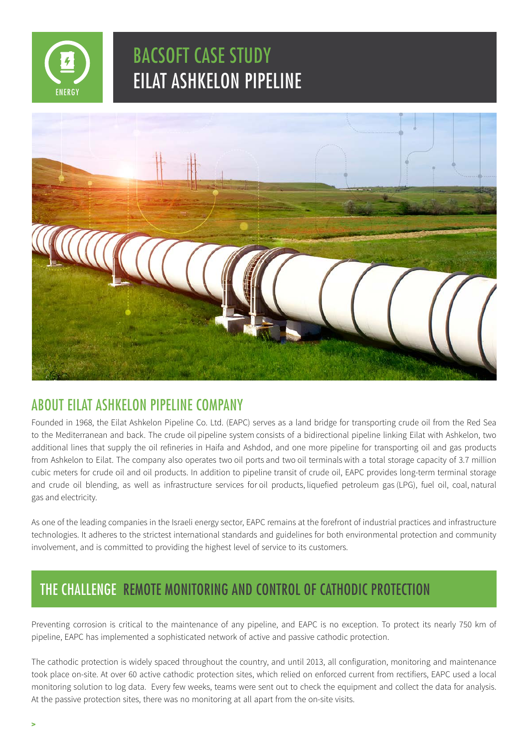

# BACSOFT CASE STUDY **EILAT ASHKELON PIPELINE**



### ABOUT FILAT ASHKELON PIPELINE COMPANY

Founded in 1968, the Eilat Ashkelon Pipeline Co. Ltd. (EAPC) serves as a land bridge for transporting crude oil from the Red Sea to the Mediterranean and back. The crude oil pipeline system consists of a bidirectional pipeline linking Eilat with Ashkelon, two additional lines that supply the oil refineries in Haifa and Ashdod, and one more pipeline for transporting oil and gas products from Ashkelon to Eilat. The company also operates two oil ports and two oil terminals with a total storage capacity of 3.7 million cubic meters for crude oil and oil products. In addition to pipeline transit of crude oil, EAPC provides long-term terminal storage and crude oil blending, as well as infrastructure services for oil products, liquefied petroleum gas (LPG), fuel oil, coal, natural gas and electricity.

As one of the leading companies in the Israeli energy sector, EAPC remains at the forefront of industrial practices and infrastructure technologies. It adheres to the strictest international standards and guidelines for both environmental protection and community involvement, and is committed to providing the highest level of service to its customers.

## THE CHALLENGE REMOTE MONITORING AND CONTROL OF CATHODIC PROTECTION

Preventing corrosion is critical to the maintenance of any pipeline, and EAPC is no exception. To protect its nearly 750 km of pipeline. EAPC has implemented a sophisticated network of active and passive cathodic protection.

The cathodic protection is widely spaced throughout the country, and until 2013, all configuration, monitoring and maintenance took place on-site. At over 60 active cathodic protection sites, which relied on enforced current from rectifiers, EAPC used a local monitoring solution to log data. Every few weeks, teams were sent out to check the equipment and collect the data for analysis. At the passive protection sites, there was no monitoring at all apart from the on-site visits.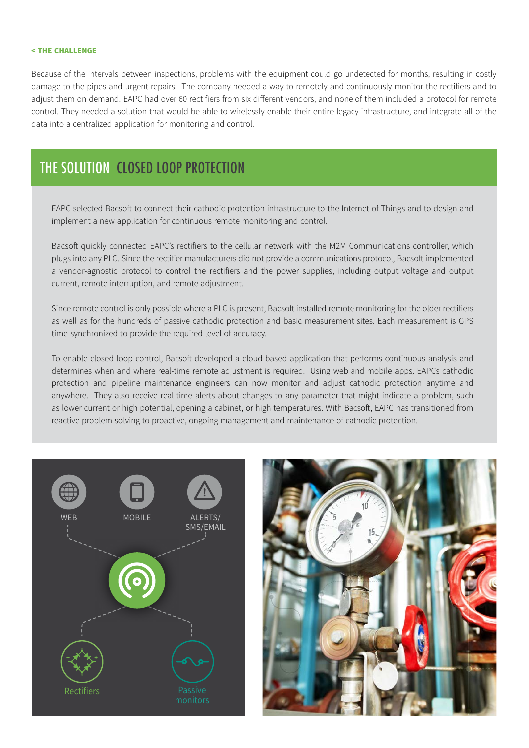#### **CHALLENGE**

Because of the intervals between inspections, problems with the equipment could go undetected for months, resulting in costly damage to the pipes and urgent repairs. The company needed a way to remotely and continuously monitor the rectifiers and to adjust them on demand. EAPC had over 60 rectifiers from six different vendors, and none of them included a protocol for remote control. They needed a solution that would be able to wirelessly-enable their entire legacy infrastructure, and integrate all of the data into a centralized application for monitoring and control.

### THE SOLUTION CLOSED LOOP PROTECTION

EAPC selected Bacsoft to connect their cathodic protection infrastructure to the Internet of Things and to design and implement a new application for continuous remote monitoring and control.

Bacsoft quickly connected EAPC's rectifiers to the cellular network with the M2M Communications controller, which plugs into any PLC. Since the rectifier manufacturers did not provide a communications protocol, Bacsoft implemented a vendor-agnostic protocol to control the rectifiers and the power supplies, including output voltage and output current, remote interruption, and remote adjustment.

Since remote control is only possible where a PLC is present, Bacsoft installed remote monitoring for the older rectifiers as well as for the hundreds of passive cathodic protection and basic measurement sites. Each measurement is GPS time-synchronized to provide the required level of accuracy.

To enable closed-loop control, Bacsoft developed a cloud-based application that performs continuous analysis and determines when and where real-time remote adjustment is required. Using web and mobile apps, EAPCs cathodic protection and pipeline maintenance engineers can now monitor and adjust cathodic protection anytime and anywhere. They also receive real-time alerts about changes to any parameter that might indicate a problem, such as lower current or high potential, opening a cabinet, or high temperatures. With Bacsoft, EAPC has transitioned from reactive problem solving to proactive, ongoing management and maintenance of cathodic protection.